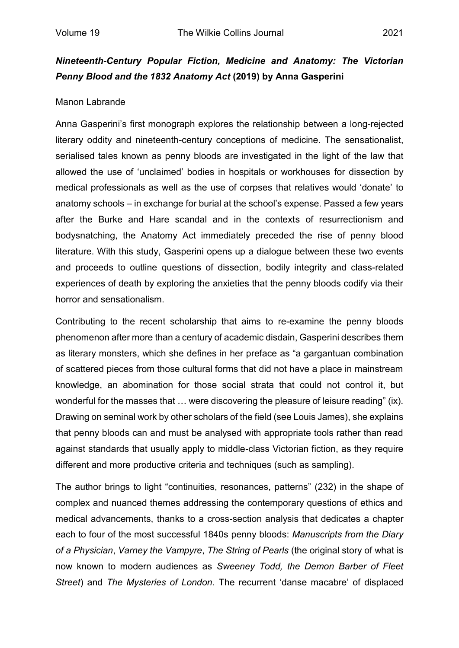## *Nineteenth-Century Popular Fiction, Medicine and Anatomy: The Victorian Penny Blood and the 1832 Anatomy Act* **(2019) by Anna Gasperini**

## Manon Labrande

Anna Gasperini's first monograph explores the relationship between a long-rejected literary oddity and nineteenth-century conceptions of medicine. The sensationalist, serialised tales known as penny bloods are investigated in the light of the law that allowed the use of 'unclaimed' bodies in hospitals or workhouses for dissection by medical professionals as well as the use of corpses that relatives would 'donate' to anatomy schools – in exchange for burial at the school's expense. Passed a few years after the Burke and Hare scandal and in the contexts of resurrectionism and bodysnatching, the Anatomy Act immediately preceded the rise of penny blood literature. With this study, Gasperini opens up a dialogue between these two events and proceeds to outline questions of dissection, bodily integrity and class-related experiences of death by exploring the anxieties that the penny bloods codify via their horror and sensationalism.

Contributing to the recent scholarship that aims to re-examine the penny bloods phenomenon after more than a century of academic disdain, Gasperini describes them as literary monsters, which she defines in her preface as "a gargantuan combination of scattered pieces from those cultural forms that did not have a place in mainstream knowledge, an abomination for those social strata that could not control it, but wonderful for the masses that … were discovering the pleasure of leisure reading" (ix). Drawing on seminal work by other scholars of the field (see Louis James), she explains that penny bloods can and must be analysed with appropriate tools rather than read against standards that usually apply to middle-class Victorian fiction, as they require different and more productive criteria and techniques (such as sampling).

The author brings to light "continuities, resonances, patterns" (232) in the shape of complex and nuanced themes addressing the contemporary questions of ethics and medical advancements, thanks to a cross-section analysis that dedicates a chapter each to four of the most successful 1840s penny bloods: *Manuscripts from the Diary of a Physician*, *Varney the Vampyre*, *The String of Pearls* (the original story of what is now known to modern audiences as *Sweeney Todd, the Demon Barber of Fleet Street*) and *The Mysteries of London*. The recurrent 'danse macabre' of displaced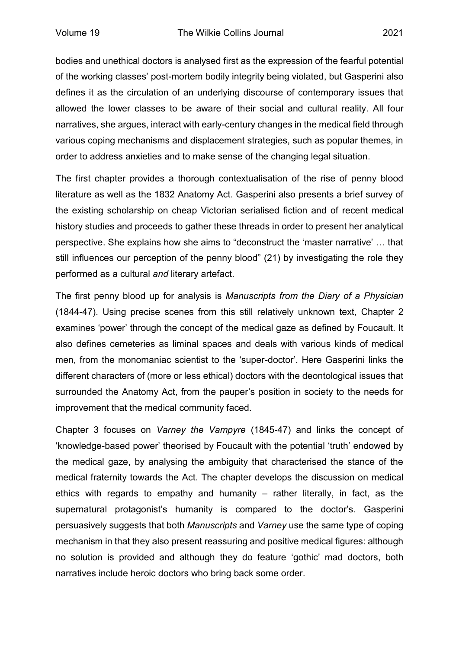bodies and unethical doctors is analysed first as the expression of the fearful potential of the working classes' post-mortem bodily integrity being violated, but Gasperini also defines it as the circulation of an underlying discourse of contemporary issues that allowed the lower classes to be aware of their social and cultural reality. All four narratives, she argues, interact with early-century changes in the medical field through various coping mechanisms and displacement strategies, such as popular themes, in order to address anxieties and to make sense of the changing legal situation.

The first chapter provides a thorough contextualisation of the rise of penny blood literature as well as the 1832 Anatomy Act. Gasperini also presents a brief survey of the existing scholarship on cheap Victorian serialised fiction and of recent medical history studies and proceeds to gather these threads in order to present her analytical perspective. She explains how she aims to "deconstruct the 'master narrative' … that still influences our perception of the penny blood" (21) by investigating the role they performed as a cultural *and* literary artefact.

The first penny blood up for analysis is *Manuscripts from the Diary of a Physician* (1844-47). Using precise scenes from this still relatively unknown text, Chapter 2 examines 'power' through the concept of the medical gaze as defined by Foucault. It also defines cemeteries as liminal spaces and deals with various kinds of medical men, from the monomaniac scientist to the 'super-doctor'. Here Gasperini links the different characters of (more or less ethical) doctors with the deontological issues that surrounded the Anatomy Act, from the pauper's position in society to the needs for improvement that the medical community faced.

Chapter 3 focuses on *Varney the Vampyre* (1845-47) and links the concept of 'knowledge-based power' theorised by Foucault with the potential 'truth' endowed by the medical gaze, by analysing the ambiguity that characterised the stance of the medical fraternity towards the Act. The chapter develops the discussion on medical ethics with regards to empathy and humanity – rather literally, in fact, as the supernatural protagonist's humanity is compared to the doctor's. Gasperini persuasively suggests that both *Manuscripts* and *Varney* use the same type of coping mechanism in that they also present reassuring and positive medical figures: although no solution is provided and although they do feature 'gothic' mad doctors, both narratives include heroic doctors who bring back some order.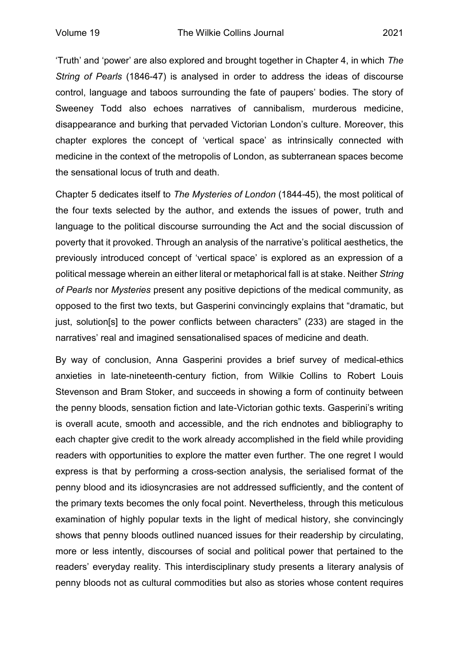'Truth' and 'power' are also explored and brought together in Chapter 4, in which *The String of Pearls* (1846-47) is analysed in order to address the ideas of discourse control, language and taboos surrounding the fate of paupers' bodies. The story of Sweeney Todd also echoes narratives of cannibalism, murderous medicine, disappearance and burking that pervaded Victorian London's culture. Moreover, this chapter explores the concept of 'vertical space' as intrinsically connected with medicine in the context of the metropolis of London, as subterranean spaces become the sensational locus of truth and death.

Chapter 5 dedicates itself to *The Mysteries of London* (1844-45), the most political of the four texts selected by the author, and extends the issues of power, truth and language to the political discourse surrounding the Act and the social discussion of poverty that it provoked. Through an analysis of the narrative's political aesthetics, the previously introduced concept of 'vertical space' is explored as an expression of a political message wherein an either literal or metaphorical fall is at stake. Neither *String of Pearls* nor *Mysteries* present any positive depictions of the medical community, as opposed to the first two texts, but Gasperini convincingly explains that "dramatic, but just, solution[s] to the power conflicts between characters" (233) are staged in the narratives' real and imagined sensationalised spaces of medicine and death.

By way of conclusion, Anna Gasperini provides a brief survey of medical-ethics anxieties in late-nineteenth-century fiction, from Wilkie Collins to Robert Louis Stevenson and Bram Stoker, and succeeds in showing a form of continuity between the penny bloods, sensation fiction and late-Victorian gothic texts. Gasperini's writing is overall acute, smooth and accessible, and the rich endnotes and bibliography to each chapter give credit to the work already accomplished in the field while providing readers with opportunities to explore the matter even further. The one regret I would express is that by performing a cross-section analysis, the serialised format of the penny blood and its idiosyncrasies are not addressed sufficiently, and the content of the primary texts becomes the only focal point. Nevertheless, through this meticulous examination of highly popular texts in the light of medical history, she convincingly shows that penny bloods outlined nuanced issues for their readership by circulating, more or less intently, discourses of social and political power that pertained to the readers' everyday reality. This interdisciplinary study presents a literary analysis of penny bloods not as cultural commodities but also as stories whose content requires